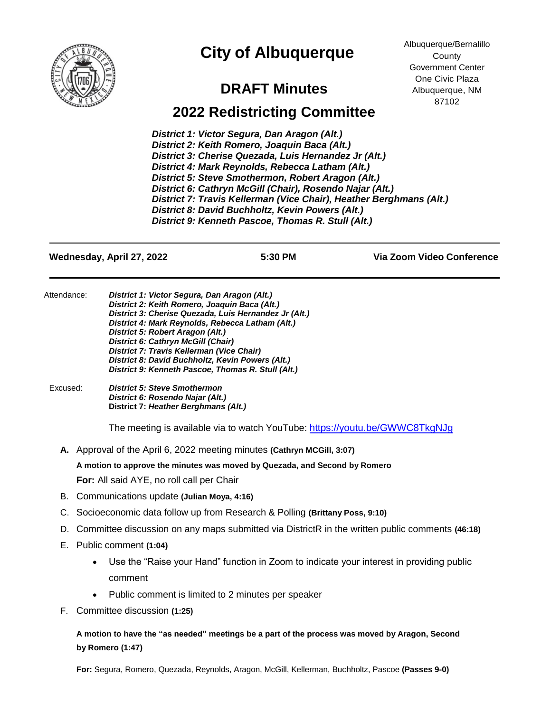

## **City of Albuquerque**

## **DRAFT Minutes**

Albuquerque/Bernalillo **County** Government Center One Civic Plaza Albuquerque, NM 87102

## **2022 Redistricting Committee**

*District 1: Victor Segura, Dan Aragon (Alt.) District 2: Keith Romero, Joaquin Baca (Alt.) District 3: Cherise Quezada, Luis Hernandez Jr (Alt.) District 4: Mark Reynolds, Rebecca Latham (Alt.) Latham (Alt.)* **District 5: Steve Smothermon, Robert Aragon (Alt.)** *District 6: Cathryn McGill (Chair), Rosendo Najar (Alt.) District 7: Travis Kellerman (Vice Chair) , Heather Berghmans (Alt.) Chair), Heather Berghmans (Alt.) District 8: David Buchholtz, Kevin Powers (Alt.) District 9: Kenneth Pascoe, Thomas R. Stull (Alt.)*

**Wednesday, April 27, 2022 5:30 PM Via Zoom Video Conference** Attendance: *District 1: Victor Segura, Dan Aragon (Alt.) District 2: Keith Romero, Joaquin Baca (Alt.) District 3: Cherise Quezada, Luis Hernandez Jr (Alt.) District 4: Mark Reynolds, Rebecca Latham (Alt.) District 5: Robert Aragon (Alt.) District 6: Cathryn McGill (Chair) District 7: Travis Kellerman (Vice Chair) District 8: David Buchholtz, Kevin Powers (Alt.) District 9: Kenneth Pascoe, Thomas R. Stull (Alt.)* Excused: *District 5: Steve Smothermon District 6: Rosendo Najar (Alt.)* **District 7:** *Heather Berghmans (Alt.)* The meeting is available via to watch YouTube: https://youtu.be/GWWC8TkgNJq **A.** Approval of the April 6, 2022 meeting minutes **(Cathryn MCGill, 3:07) A motion to approve the minutes was moved by Quezada, and Second by Romero For:** All said AYE, no roll call per Chair B. Communications update **(Julian Moya, 4:16)** C. Socioeconomic data follow up from Research & Polling **(Brittany Poss, 9:10)** D. Committee discussion on any maps submitted via DistrictR in the written public comments **(46:18)** E. Public comment **(1:04)** • Use the "Raise your Hand" function in Zoom to indicate your interest in providing public comment • Public comment is limited to 2 minutes per speaker

F. Committee discussion **(1:25)**

**A motion to have the "as needed" meetings be a part of the process was moved by Aragon, Second by Romero (1:47)**

**For:** Segura, Romero, Quezada, Reynolds, Aragon, McGill, Kellerman, Buchholtz, Pascoe **(Passes 9-0)**